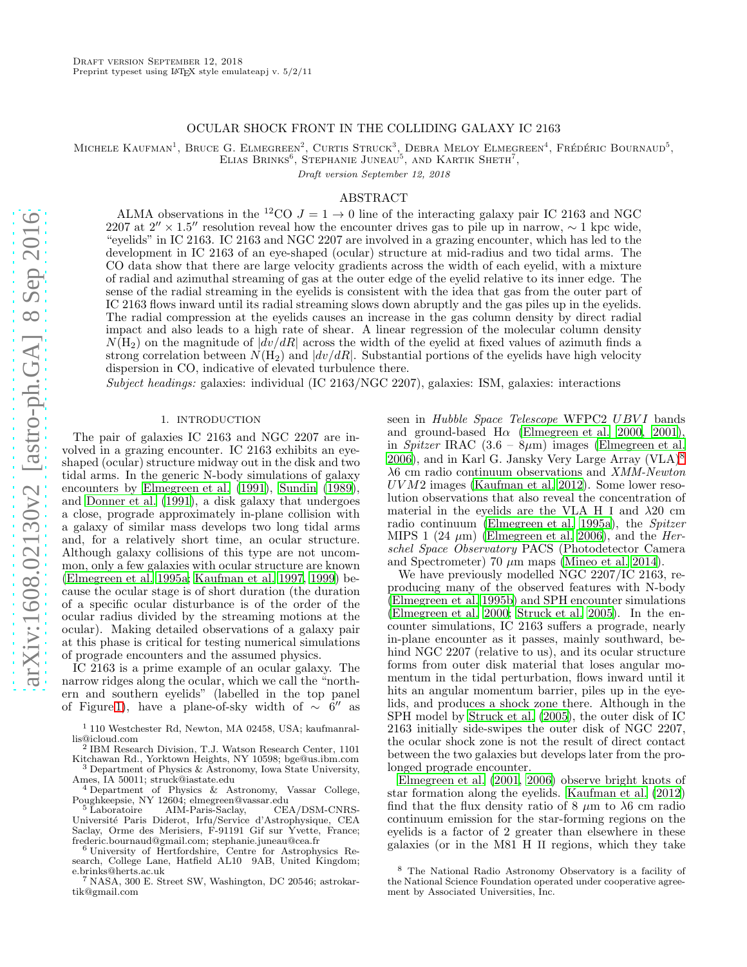# OCULAR SHOCK FRONT IN THE COLLIDING GALAXY IC 2163

MICHELE KAUFMAN<sup>1</sup>, BRUCE G. ELMEGREEN<sup>2</sup>, CURTIS STRUCK<sup>3</sup>, DEBRA MELOY ELMEGREEN<sup>4</sup>, FRÉDÉRIC BOURNAUD<sup>5</sup>,

ELIAS BRINKS<sup>6</sup>, STEPHANIE JUNEAU<sup>5</sup>, AND KARTIK SHETH<sup>7</sup>, Draft version September 12, 2018

# ABSTRACT

ALMA observations in the <sup>12</sup>CO  $J = 1 \rightarrow 0$  line of the interacting galaxy pair IC 2163 and NGC 2207 at 2″ × 1.5″ resolution reveal how the encounter drives gas to pile up in narrow,  $\sim 1$  kpc wide, "eyelids" in IC 2163. IC 2163 and NGC 2207 are involved in a grazing encounter, which has led to the development in IC 2163 of an eye-shaped (ocular) structure at mid-radius and two tidal arms. The CO data show that there are large velocity gradients across the width of each eyelid, with a mixture of radial and azimuthal streaming of gas at the outer edge of the eyelid relative to its inner edge. The sense of the radial streaming in the eyelids is consistent with the idea that gas from the outer part of IC 2163 flows inward until its radial streaming slows down abruptly and the gas piles up in the eyelids. The radial compression at the eyelids causes an increase in the gas column density by direct radial impact and also leads to a high rate of shear. A linear regression of the molecular column density  $N(H_2)$  on the magnitude of  $|dv/dR|$  across the width of the eyelid at fixed values of azimuth finds a strong correlation between  $N(\text{H}_2)$  and  $|dv/dR|$ . Substantial portions of the eyelids have high velocity dispersion in CO, indicative of elevated turbulence there.

Subject headings: galaxies: individual (IC 2163/NGC 2207), galaxies: ISM, galaxies: interactions

#### 1. INTRODUCTION

The pair of galaxies IC 2163 and NGC 2207 are involved in a grazing encounter. IC 2163 exhibits an eyeshaped (ocular) structure midway out in the disk and two tidal arms. In the generic N-body simulations of galaxy encounters by [Elmegreen et al. \(1991](#page-13-0)), [Sundin \(1989\)](#page-13-1), and [Donner et al. \(1991\)](#page-13-2), a disk galaxy that undergoes a close, prograde approximately in-plane collision with a galaxy of similar mass develops two long tidal arms and, for a relatively short time, an ocular structure. Although galaxy collisions of this type are not uncommon, only a few galaxies with ocular structure are known [\(Elmegreen et al. 1995a;](#page-13-3) [Kaufman et al. 1997,](#page-13-4) [1999\)](#page-13-5) because the ocular stage is of short duration (the duration of a specific ocular disturbance is of the order of the ocular radius divided by the streaming motions at the ocular). Making detailed observations of a galaxy pair at this phase is critical for testing numerical simulations of prograde encounters and the assumed physics.

IC 2163 is a prime example of an ocular galaxy. The narrow ridges along the ocular, which we call the "northern and southern eyelids" (labelled in the top panel of Figure [1\)](#page-2-0), have a plane-of-sky width of  $\sim$  6<sup>"</sup> as

seen in Hubble Space Telescope WFPC2 UBVI bands and ground-based  $H\alpha$  [\(Elmegreen et al. 2000](#page-13-6), [2001](#page-13-7)), in Spitzer IRAC  $(3.6 - 8\mu m)$  images [\(Elmegreen et al.](#page-13-8)  $2006$ , and in Karl G. Jansky Very Large Array (VLA)<sup>[8](#page-0-0)</sup> λ6 cm radio continuum observations and XMM-Newton UV M2 images [\(Kaufman et al. 2012\)](#page-13-9). Some lower resolution observations that also reveal the concentration of material in the eyelids are the VLA H I and  $\lambda$ 20 cm radio continuum [\(Elmegreen et al. 1995a\)](#page-13-3), the Spitzer MIPS 1 (24  $\mu$ m) [\(Elmegreen et al. 2006\)](#page-13-8), and the *Her*schel Space Observatory PACS (Photodetector Camera and Spectrometer) 70  $\mu$ m maps [\(Mineo et al. 2014\)](#page-13-10).

We have previously modelled NGC 2207/IC 2163, reproducing many of the observed features with N-body [\(Elmegreen et al. 1995b\)](#page-13-11) and SPH encounter simulations [\(Elmegreen et al. 2000;](#page-13-6) [Struck et al. 2005](#page-13-12)). In the encounter simulations, IC 2163 suffers a prograde, nearly in-plane encounter as it passes, mainly southward, behind NGC 2207 (relative to us), and its ocular structure forms from outer disk material that loses angular momentum in the tidal perturbation, flows inward until it hits an angular momentum barrier, piles up in the eyelids, and produces a shock zone there. Although in the SPH model by [Struck et al. \(2005\)](#page-13-12), the outer disk of IC 2163 initially side-swipes the outer disk of NGC 2207, the ocular shock zone is not the result of direct contact between the two galaxies but develops later from the prolonged prograde encounter.

[Elmegreen et al. \(2001,](#page-13-7) [2006](#page-13-8)) observe bright knots of star formation along the eyelids. [Kaufman et al. \(2012](#page-13-9)) find that the flux density ratio of 8  $\mu$ m to  $\lambda$ 6 cm radio continuum emission for the star-forming regions on the eyelids is a factor of 2 greater than elsewhere in these galaxies (or in the M81 H II regions, which they take

<sup>1</sup> 110 Westchester Rd, Newton, MA 02458, USA; kaufmanrallis@icloud.com

<sup>2</sup> IBM Research Division, T.J. Watson Research Center, 1101 Kitchawan Rd., Yorktown Heights, NY 10598; bge@us.ibm.com

Department of Physics & Astronomy, Iowa State University, Ames, IA 50011; struck@iastate.edu

<sup>4</sup> Department of Physics & Astronomy, Vassar College, Poughkeepsie, NY 12604; elmegreen@vassar.edu

<sup>5</sup> Laboratoire AIM-Paris-Saclay, CEA/DSM-CNRS-Universit´e Paris Diderot, Irfu/Service d'Astrophysique, CEA Saclay, Orme des Merisiers, F-91191 Gif sur Yvette, France; frederic.bournaud@gmail.com; stephanie.juneau@cea.fr

<sup>6</sup> University of Hertfordshire, Centre for Astrophysics Research, College Lane, Hatfield AL10 9AB, United Kingdom; e.brinks@herts.ac.uk <sup>7</sup> NASA, 300 E. Street SW, Washington, DC 20546; astrokar-

tik@gmail.com

<span id="page-0-0"></span><sup>8</sup> The National Radio Astronomy Observatory is a facility of the National Science Foundation operated under cooperative agreement by Associated Universities, Inc.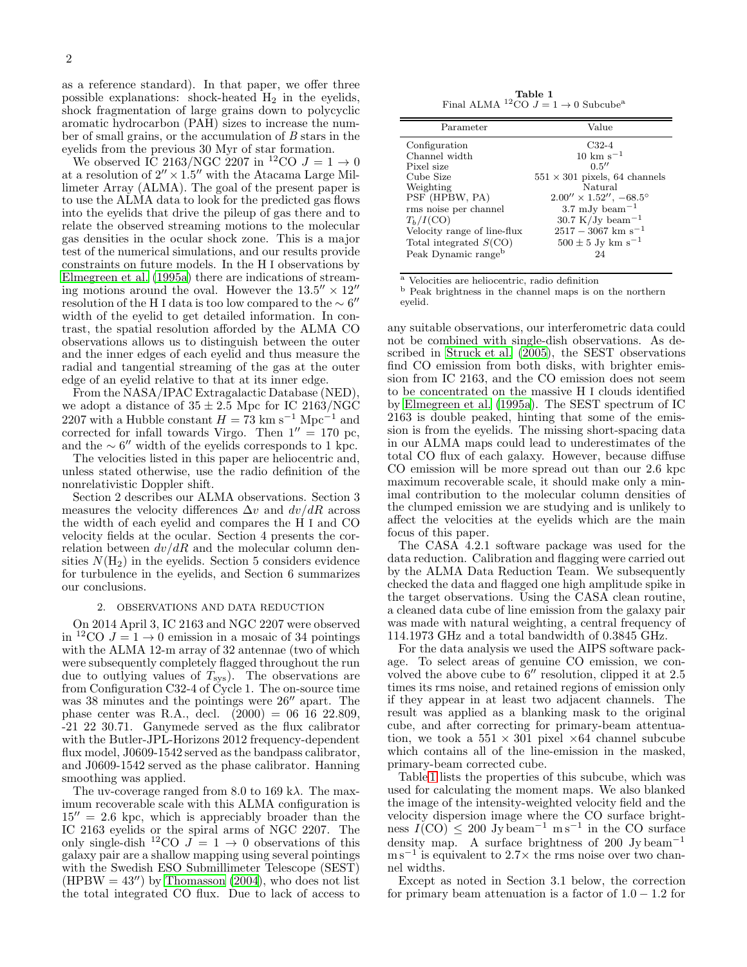as a reference standard). In that paper, we offer three possible explanations: shock-heated  $H_2$  in the eyelids, shock fragmentation of large grains down to polycyclic aromatic hydrocarbon (PAH) sizes to increase the number of small grains, or the accumulation of B stars in the eyelids from the previous 30 Myr of star formation.

We observed IC 2163/NGC 2207 in <sup>12</sup>CO  $J = 1 \rightarrow 0$ at a resolution of  $2'' \times 1.5''$  with the Atacama Large Millimeter Array (ALMA). The goal of the present paper is to use the ALMA data to look for the predicted gas flows into the eyelids that drive the pileup of gas there and to relate the observed streaming motions to the molecular gas densities in the ocular shock zone. This is a major test of the numerical simulations, and our results provide constraints on future models. In the H I observations by [Elmegreen et al. \(1995a\)](#page-13-3) there are indications of streaming motions around the oval. However the  $13.5'' \times 12''$ resolution of the H I data is too low compared to the  $\sim 6''$ width of the eyelid to get detailed information. In contrast, the spatial resolution afforded by the ALMA CO observations allows us to distinguish between the outer and the inner edges of each eyelid and thus measure the radial and tangential streaming of the gas at the outer edge of an eyelid relative to that at its inner edge.

From the NASA/IPAC Extragalactic Database (NED), we adopt a distance of  $35 \pm 2.5$  Mpc for IC 2163/NGC 2207 with a Hubble constant  $H = 73 \text{ km s}^{-1} \text{ Mpc}^{-1}$  and corrected for infall towards Virgo. Then  $1'' = 170$  pc, and the  $\sim 6''$  width of the eyelids corresponds to 1 kpc.

The velocities listed in this paper are heliocentric and, unless stated otherwise, use the radio definition of the nonrelativistic Doppler shift.

Section 2 describes our ALMA observations. Section 3 measures the velocity differences  $\Delta v$  and  $dv/dR$  across the width of each eyelid and compares the H I and CO velocity fields at the ocular. Section 4 presents the correlation between  $dv/dR$  and the molecular column densities  $N(\mathrm{H}_2)$  in the eyelids. Section 5 considers evidence for turbulence in the eyelids, and Section 6 summarizes our conclusions.

#### 2. OBSERVATIONS AND DATA REDUCTION

On 2014 April 3, IC 2163 and NGC 2207 were observed in <sup>12</sup>CO  $J = 1 \rightarrow 0$  emission in a mosaic of 34 pointings with the ALMA 12-m array of 32 antennae (two of which were subsequently completely flagged throughout the run due to outlying values of  $T_{sys}$ ). The observations are from Configuration C32-4 of Cycle 1. The on-source time was 38 minutes and the pointings were  $26''$  apart. The phase center was R.A., decl.  $(2000) = 06$  16 22.809, -21 22 30.71. Ganymede served as the flux calibrator with the Butler-JPL-Horizons 2012 frequency-dependent flux model, J0609-1542 served as the bandpass calibrator, and J0609-1542 served as the phase calibrator. Hanning smoothing was applied.

The uv-coverage ranged from 8.0 to 169 k $\lambda$ . The maximum recoverable scale with this ALMA configuration is  $15'' = 2.6$  kpc, which is appreciably broader than the IC 2163 eyelids or the spiral arms of NGC 2207. The only single-dish <sup>12</sup>CO  $\tilde{J} = 1 \rightarrow 0$  observations of this galaxy pair are a shallow mapping using several pointings with the Swedish ESO Submillimeter Telescope (SEST)  $(HPBW = 43'')$  by [Thomasson \(2004\)](#page-13-13), who does not list the total integrated CO flux. Due to lack of access to

<span id="page-1-0"></span>**Table 1**<br>Final ALMA <sup>12</sup>CO  $J = 1 \rightarrow 0$  Subcube<sup>a</sup>

| Parameter                       | Value                                    |
|---------------------------------|------------------------------------------|
| Configuration                   | $C32-4$                                  |
| Channel width                   | $10 \;{\rm km\;s^{-1}}$                  |
| Pixel size                      | 0.5''                                    |
| Cube Size                       | $551 \times 301$ pixels, 64 channels     |
| Weighting                       | Natural                                  |
| PSF (HPBW, PA)                  | $2.00'' \times 1.52''$ , $-68.5^{\circ}$ |
| rms noise per channel           | $3.7 \mathrm{mJy}\ \mathrm{beam}^{-1}$   |
| $T_h/I(CO)$                     | 30.7 K/Jy beam <sup>-1</sup>             |
| Velocity range of line-flux     | $2517 - 3067$ km s <sup>-1</sup>         |
| Total integrated $S(CO)$        | $500 \pm 5$ Jy km s <sup>-1</sup>        |
| Peak Dynamic range <sup>b</sup> | 24                                       |

<sup>a</sup> Velocities are heliocentric, radio definition

<sup>b</sup> Peak brightness in the channel maps is on the northern eyelid.

any suitable observations, our interferometric data could not be combined with single-dish observations. As described in [Struck et al. \(2005\)](#page-13-12), the SEST observations find CO emission from both disks, with brighter emission from IC 2163, and the CO emission does not seem to be concentrated on the massive H I clouds identified by [Elmegreen et al. \(1995a\)](#page-13-3). The SEST spectrum of IC 2163 is double peaked, hinting that some of the emission is from the eyelids. The missing short-spacing data in our ALMA maps could lead to underestimates of the total CO flux of each galaxy. However, because diffuse CO emission will be more spread out than our 2.6 kpc maximum recoverable scale, it should make only a minimal contribution to the molecular column densities of the clumped emission we are studying and is unlikely to affect the velocities at the eyelids which are the main focus of this paper.

The CASA 4.2.1 software package was used for the data reduction. Calibration and flagging were carried out by the ALMA Data Reduction Team. We subsequently checked the data and flagged one high amplitude spike in the target observations. Using the CASA clean routine, a cleaned data cube of line emission from the galaxy pair was made with natural weighting, a central frequency of 114.1973 GHz and a total bandwidth of 0.3845 GHz.

For the data analysis we used the AIPS software package. To select areas of genuine CO emission, we convolved the above cube to 6′′ resolution, clipped it at 2.5 times its rms noise, and retained regions of emission only if they appear in at least two adjacent channels. The result was applied as a blanking mask to the original cube, and after correcting for primary-beam attentuation, we took a  $551 \times 301$  pixel  $\times 64$  channel subcube which contains all of the line-emission in the masked, primary-beam corrected cube.

Table [1](#page-1-0) lists the properties of this subcube, which was used for calculating the moment maps. We also blanked the image of the intensity-weighted velocity field and the velocity dispersion image where the CO surface brightness  $I(\text{CO}) \leq 200 \text{ Jy beam}^{-1} \text{ m s}^{-1}$  in the CO surface density map. A surface brightness of 200 Jy beam<sup>-1</sup> m s<sup>-1</sup> is equivalent to 2.7× the rms noise over two channel widths.

Except as noted in Section 3.1 below, the correction for primary beam attenuation is a factor of  $1.0 - 1.2$  for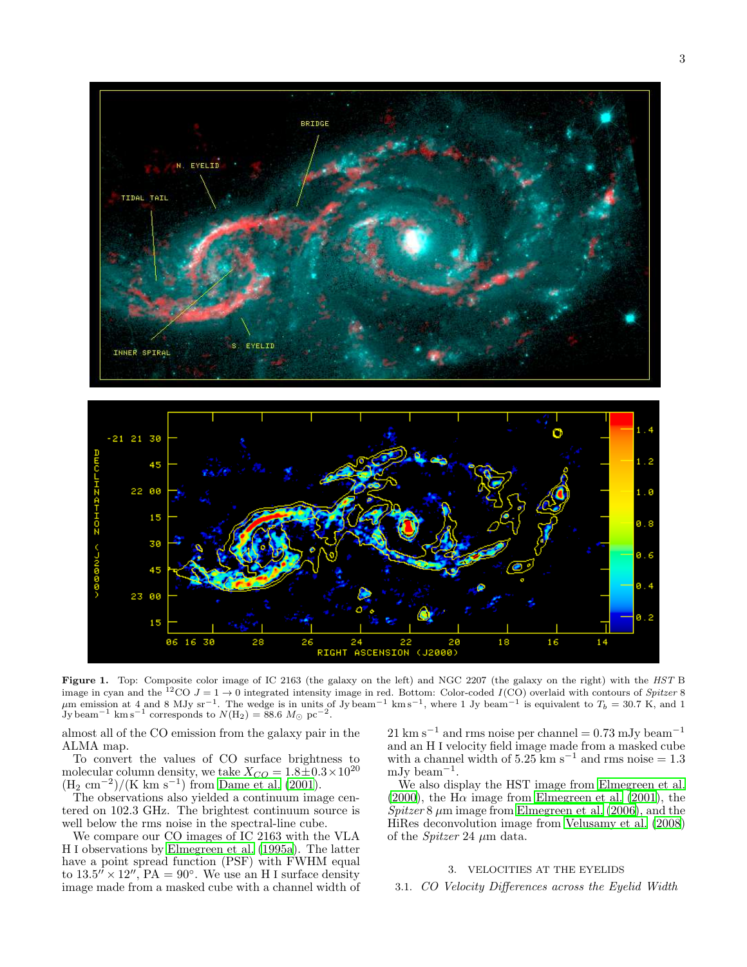

<span id="page-2-0"></span>Figure 1. Top: Composite color image of IC 2163 (the galaxy on the left) and NGC 2207 (the galaxy on the right) with the HST B image in cyan and the <sup>12</sup>CO  $J = 1 \rightarrow 0$  integrated intensity image in red. Bottom: Color-coded I(CO) overlaid with contours of Spitzer 8  $\mu$ m emission at 4 and 8 MJy sr<sup>−1</sup>. The wedge is in units of Jy beam<sup>−1</sup> km s<sup>−1</sup>, where 1 Jy beam<sup>−1</sup> is equivalent to  $T_b = 30.7$  K, and 1 Jy beam<sup>−1</sup> km s<sup>−1</sup> corresponds to  $N(H_2) = 88.6$   $M_{\odot}$  pc<sup>−2</sup>.

almost all of the CO emission from the galaxy pair in the ALMA map.

To convert the values of CO surface brightness to molecular column density, we take  $X_{CO} = 1.8 \pm 0.3 \times 10^{20}$  $(H_2 \text{ cm}^{-2})/(K \text{ km s}^{-1})$  from [Dame et al. \(2001](#page-13-14)).

The observations also yielded a continuum image centered on 102.3 GHz. The brightest continuum source is well below the rms noise in the spectral-line cube.

We compare our CO images of IC 2163 with the VLA H I observations by [Elmegreen et al. \(1995a](#page-13-3)). The latter have a point spread function (PSF) with FWHM equal to  $13.5'' \times 12''$ ,  $PA = 90^\circ$ . We use an H I surface density image made from a masked cube with a channel width of  $21 \text{ km s}^{-1}$  and rms noise per channel = 0.73 mJy beam<sup>-1</sup> and an H I velocity field image made from a masked cube with a channel width of  $5.25 \text{ km s}^{-1}$  and rms noise = 1.3 mJy beam<sup>−</sup><sup>1</sup> .

We also display the HST image from [Elmegreen et al.](#page-13-6) [\(2000\)](#page-13-6), the H $\alpha$  image from [Elmegreen et al. \(2001\)](#page-13-7), the  $Spitzer 8 \mu m$  image from [Elmegreen et al. \(2006\)](#page-13-8), and the HiRes deconvolution image from [Velusamy et al. \(2008](#page-13-15)) of the *Spitzer* 24  $\mu$ m data.

# 3. VELOCITIES AT THE EYELIDS

3.1. CO Velocity Differences across the Eyelid Width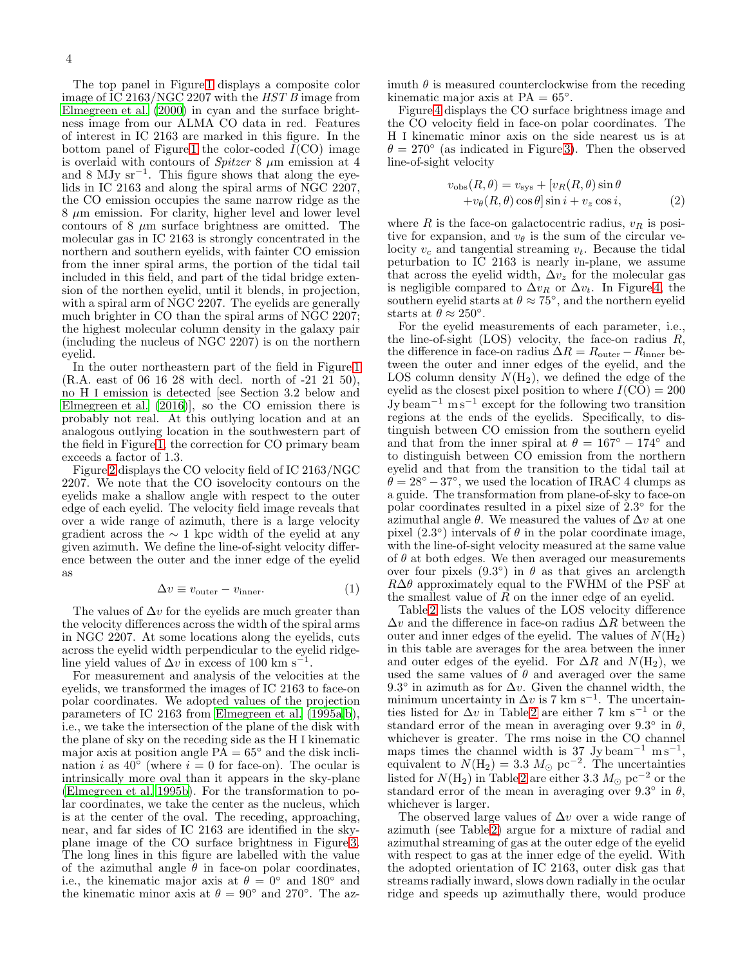The top panel in Figure [1](#page-2-0) displays a composite color image of IC 2163/NGC 2207 with the HST B image from [Elmegreen et al. \(2000\)](#page-13-6) in cyan and the surface brightness image from our ALMA CO data in red. Features of interest in IC 2163 are marked in this figure. In the bottom panel of Figure [1](#page-2-0) the color-coded  $I(CO)$  image is overlaid with contours of *Spitzer* 8  $\mu$ m emission at 4 and 8 MJy  $sr^{-1}$ . This figure shows that along the eyelids in IC 2163 and along the spiral arms of NGC 2207, the CO emission occupies the same narrow ridge as the  $8 \mu m$  emission. For clarity, higher level and lower level contours of 8  $\mu$ m surface brightness are omitted. The molecular gas in IC 2163 is strongly concentrated in the northern and southern eyelids, with fainter CO emission from the inner spiral arms, the portion of the tidal tail included in this field, and part of the tidal bridge extension of the northen eyelid, until it blends, in projection, with a spiral arm of NGC 2207. The eyelids are generally much brighter in CO than the spiral arms of NGC 2207; the highest molecular column density in the galaxy pair (including the nucleus of NGC 2207) is on the northern eyelid.

In the outer northeastern part of the field in Figure [1](#page-2-0) (R.A. east of 06 16 28 with decl. north of -21 21 50), no H I emission is detected [see Section 3.2 below and [Elmegreen et al. \(2016\)](#page-13-16)], so the CO emission there is probably not real. At this outlying location and at an analogous outlying location in the southwestern part of the field in Figure [1,](#page-2-0) the correction for CO primary beam exceeds a factor of 1.3.

Figure [2](#page-4-0) displays the CO velocity field of IC 2163/NGC 2207. We note that the CO isovelocity contours on the eyelids make a shallow angle with respect to the outer edge of each eyelid. The velocity field image reveals that over a wide range of azimuth, there is a large velocity gradient across the  $\sim$  1 kpc width of the eyelid at any given azimuth. We define the line-of-sight velocity difference between the outer and the inner edge of the eyelid as

$$
\Delta v \equiv v_{\text{outer}} - v_{\text{inner}}.\tag{1}
$$

The values of  $\Delta v$  for the eyelids are much greater than the velocity differences across the width of the spiral arms in NGC 2207. At some locations along the eyelids, cuts across the eyelid width perpendicular to the eyelid ridgeline yield values of  $\Delta v$  in excess of 100 km s<sup>-1</sup>.

For measurement and analysis of the velocities at the eyelids, we transformed the images of IC 2163 to face-on polar coordinates. We adopted values of the projection parameters of IC 2163 from [Elmegreen et al. \(1995a](#page-13-3)[,b](#page-13-11)), i.e., we take the intersection of the plane of the disk with the plane of sky on the receding side as the H I kinematic major axis at position angle  $\overline{PA} = 65^\circ$  and the disk inclination i as  $40^{\circ}$  (where  $i = 0$  for face-on). The ocular is intrinsically more oval than it appears in the sky-plane [\(Elmegreen et al. 1995b\)](#page-13-11). For the transformation to polar coordinates, we take the center as the nucleus, which is at the center of the oval. The receding, approaching, near, and far sides of IC 2163 are identified in the skyplane image of the CO surface brightness in Figure [3.](#page-4-1) The long lines in this figure are labelled with the value of the azimuthal angle  $\hat{\theta}$  in face-on polar coordinates, i.e., the kinematic major axis at  $\theta = 0^{\circ}$  and 180° and the kinematic minor axis at  $\theta = 90^{\circ}$  and 270°. The azimuth  $\theta$  is measured counterclockwise from the receding kinematic major axis at  $PA = 65^\circ$ .

Figure [4](#page-5-0) displays the CO surface brightness image and the CO velocity field in face-on polar coordinates. The H I kinematic minor axis on the side nearest us is at  $\theta = 270^{\circ}$  (as indicated in Figure [3\)](#page-4-1). Then the observed line-of-sight velocity

$$
v_{\text{obs}}(R,\theta) = v_{\text{sys}} + [v_R(R,\theta)\sin\theta + v_{\theta}(R,\theta)\cos\theta]\sin i + v_z\cos i,
$$
 (2)

where  $R$  is the face-on galactocentric radius,  $v_R$  is positive for expansion, and  $v_{\theta}$  is the sum of the circular velocity  $v_c$  and tangential streaming  $v_t$ . Because the tidal peturbation to IC 2163 is nearly in-plane, we assume that across the eyelid width,  $\Delta v_z$  for the molecular gas is negligible compared to  $\Delta v_R$  or  $\Delta v_t$ . In Figure [4,](#page-5-0) the southern eyelid starts at  $\theta \approx 75^{\circ}$ , and the northern eyelid starts at  $\ddot{\theta} \approx 250^{\circ}$ .

For the eyelid measurements of each parameter, i.e., the line-of-sight  $(LOS)$  velocity, the face-on radius  $R$ , the difference in face-on radius  $\Delta R = R_{\text{outer}} - R_{\text{inner}}$  between the outer and inner edges of the eyelid, and the LOS column density  $N(\text{H}_2)$ , we defined the edge of the eyelid as the closest pixel position to where  $I(CO) = 200$ Jy beam<sup>−</sup><sup>1</sup> m s<sup>−</sup><sup>1</sup> except for the following two transition regions at the ends of the eyelids. Specifically, to distinguish between CO emission from the southern eyelid and that from the inner spiral at  $\theta = 167^\circ - 174^\circ$  and to distinguish between CO emission from the northern eyelid and that from the transition to the tidal tail at  $\ddot{\theta} = 28^{\circ} - 37^{\circ}$ , we used the location of IRAC 4 clumps as a guide. The transformation from plane-of-sky to face-on polar coordinates resulted in a pixel size of  $2.3^{\circ}$  for the azimuthal angle  $\theta$ . We measured the values of  $\Delta v$  at one pixel  $(2.3^{\circ})$  intervals of  $\theta$  in the polar coordinate image, with the line-of-sight velocity measured at the same value of  $\theta$  at both edges. We then averaged our measurements over four pixels  $(9.3^{\circ})$  in  $\theta$  as that gives an arclength  $R\Delta\theta$  approximately equal to the FWHM of the PSF at the smallest value of  $\overline{R}$  on the inner edge of an eyelid.

Table [2](#page-5-1) lists the values of the LOS velocity difference  $\Delta v$  and the difference in face-on radius  $\Delta R$  between the outer and inner edges of the eyelid. The values of  $N(\text{H}_2)$ in this table are averages for the area between the inner and outer edges of the eyelid. For  $\Delta R$  and  $N(\text{H}_2)$ , we used the same values of  $\theta$  and averaged over the same 9.3° in azimuth as for  $\Delta v$ . Given the channel width, the minimum uncertainty in  $\Delta v$  is 7 km s<sup>-1</sup>. The uncertainties listed for  $\Delta v$  in Table [2](#page-5-1) are either 7 km s<sup>−1</sup> or the standard error of the mean in averaging over  $9.3^{\circ}$  in  $\theta$ , whichever is greater. The rms noise in the CO channel maps times the channel width is 37 Jy beam<sup>-1</sup> m s<sup>-1</sup>, equivalent to  $N(\text{H}_2) = 3.3 \text{ M}_{\odot} \text{ pc}^{-2}$ . The uncertainties listed for  $N(H_2)$  in Table [2](#page-5-1) are either 3.3  $M_{\odot}$  pc<sup>-2</sup> or the standard error of the mean in averaging over 9.3° in  $\theta$ , whichever is larger.

The observed large values of  $\Delta v$  over a wide range of azimuth (see Table [2\)](#page-5-1) argue for a mixture of radial and azimuthal streaming of gas at the outer edge of the eyelid with respect to gas at the inner edge of the eyelid. With the adopted orientation of IC 2163, outer disk gas that streams radially inward, slows down radially in the ocular ridge and speeds up azimuthally there, would produce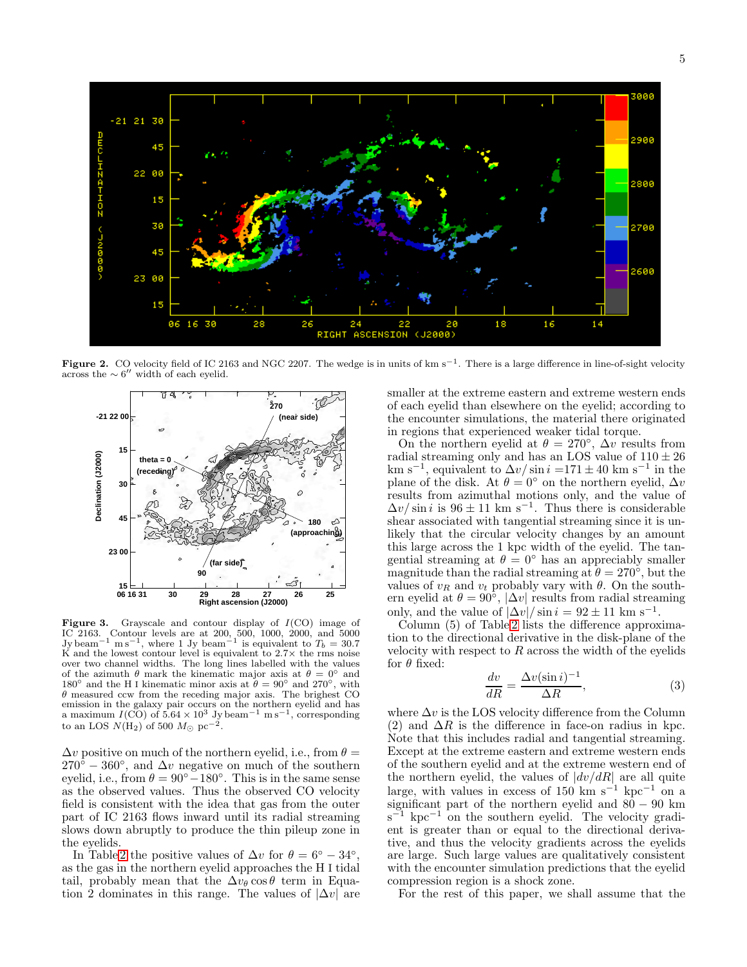

Figure 2. CO velocity field of IC 2163 and NGC 2207. The wedge is in units of km s<sup>-1</sup>. There is a large difference in line-of-sight velocity across the  $\sim 6''$  width of each eyelid.

<span id="page-4-0"></span>

<span id="page-4-1"></span>Figure 3. Grayscale and contour display of  $I(CO)$  image of IC 2163. Contour levels are at 200, 500, 1000, 2000, and 5000 Jy beam<sup>-1</sup> m s<sup>-1</sup>, where 1 Jy beam<sup>-1</sup> is equivalent to  $T_b = 30.7$ K and the lowest contour level is equivalent to  $2.7\times$  the rms noise over two channel widths. The long lines labelled with the values of the azimuth  $\theta$  mark the kinematic major axis at  $\theta = 0^{\circ}$  and 180<sup>°</sup> and the H I kinematic minor axis at  $\theta = 90^{\circ}$  and 270<sup>°</sup>, with  $\theta$  measured ccw from the receding major axis. The brighest CO emission in the galaxy pair occurs on the northern eyelid and has a maximum  $I(CO)$  of  $5.64 \times 10^3$  Jy beam<sup>-1</sup> m s<sup>-1</sup>, corresponding to an LOS  $N(\text{H}_2)$  of 500  $M_\odot$  pc<sup>-2</sup>.

 $\Delta v$  positive on much of the northern eyelid, i.e., from  $\theta =$  $270^{\circ} - 360^{\circ}$ , and  $\Delta v$  negative on much of the southern eyelid, i.e., from  $\theta = 90^{\circ} - 180^{\circ}$ . This is in the same sense as the observed values. Thus the observed CO velocity field is consistent with the idea that gas from the outer part of IC 2163 flows inward until its radial streaming slows down abruptly to produce the thin pileup zone in the eyelids.

In Table [2](#page-5-1) the positive values of  $\Delta v$  for  $\theta = 6^{\circ} - 34^{\circ}$ , as the gas in the northern eyelid approaches the H I tidal tail, probably mean that the  $\Delta v_{\theta} \cos \theta$  term in Equation 2 dominates in this range. The values of  $|\Delta v|$  are smaller at the extreme eastern and extreme western ends of each eyelid than elsewhere on the eyelid; according to the encounter simulations, the material there originated in regions that experienced weaker tidal torque.

On the northern eyelid at  $\theta = 270^{\circ}$ ,  $\Delta v$  results from radial streaming only and has an LOS value of  $110 \pm 26$ km s<sup>-1</sup>, equivalent to  $\Delta v / \sin i = 171 \pm 40$  km s<sup>-1</sup> in the plane of the disk. At  $\theta = 0^{\circ}$  on the northern eyelid,  $\Delta v$ results from azimuthal motions only, and the value of  $\Delta v / \sin i$  is 96 ± 11 km s<sup>-1</sup>. Thus there is considerable shear associated with tangential streaming since it is unlikely that the circular velocity changes by an amount this large across the 1 kpc width of the eyelid. The tangential streaming at  $\theta = 0^{\circ}$  has an appreciably smaller magnitude than the radial streaming at  $\theta = 270^{\circ}$ , but the values of  $v_R$  and  $v_t$  probably vary with  $\theta$ . On the southern eyelid at  $\theta = 90^{\circ}$ ,  $|\Delta v|$  results from radial streaming only, and the value of  $|\Delta v| / \sin i = 92 \pm 11$  km s<sup>-1</sup>.

Column (5) of Table [2](#page-5-1) lists the difference approximation to the directional derivative in the disk-plane of the velocity with respect to  $R$  across the width of the eyelids for  $\theta$  fixed:

$$
\frac{dv}{dR} = \frac{\Delta v(\sin i)^{-1}}{\Delta R},\tag{3}
$$

where  $\Delta v$  is the LOS velocity difference from the Column (2) and  $\Delta R$  is the difference in face-on radius in kpc. Note that this includes radial and tangential streaming. Except at the extreme eastern and extreme western ends of the southern eyelid and at the extreme western end of the northern eyelid, the values of  $|dv/dR|$  are all quite large, with values in excess of 150 km s<sup>-1</sup> kpc<sup>-1</sup> on a significant part of the northern eyelid and  $80 - 90$  km  $s^{-1}$  kpc<sup>-1</sup> on the southern eyelid. The velocity gradient is greater than or equal to the directional derivative, and thus the velocity gradients across the eyelids are large. Such large values are qualitatively consistent with the encounter simulation predictions that the eyelid compression region is a shock zone.

For the rest of this paper, we shall assume that the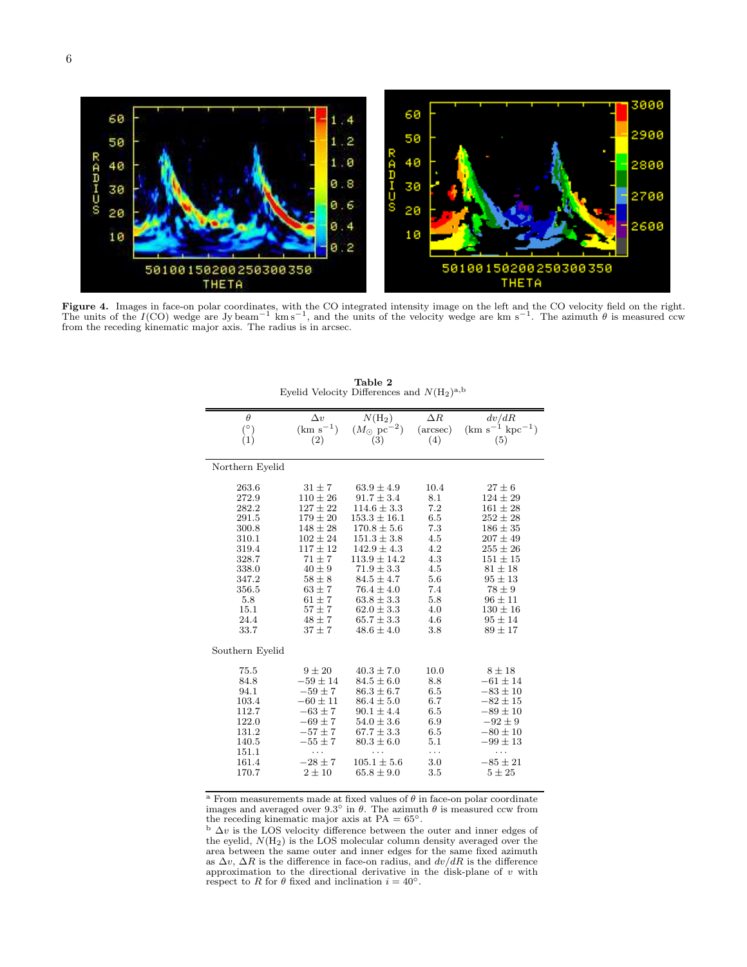

<span id="page-5-0"></span>Figure 4. Images in face-on polar coordinates, with the CO integrated intensity image on the left and the CO velocity field on the right. The units of the I(CO) wedge are Jy beam<sup>-1</sup> km s<sup>-1</sup>, and the units of the velocity wedge are km s<sup>-1</sup>. The azimuth  $\theta$  is measured ccw from the receding kinematic major axis. The radius is in arcsec.

<span id="page-5-1"></span>

| $\theta$           | $\Delta v$    | $N(H_2)$                    | $\Delta R$        | dv/dR                  |
|--------------------|---------------|-----------------------------|-------------------|------------------------|
|                    | $(km s^{-1})$ | $(M_{\odot}~{\rm pc}^{-2})$ | $(\text{arcsec})$ | $(km s^{-1} kpc^{-1})$ |
| $\binom{\circ}{1}$ | (2)           | (3)                         | (4)               | (5)                    |
|                    |               |                             |                   |                        |
| Northern Eyelid    |               |                             |                   |                        |
| 263.6              | $31 \pm 7$    | $63.9 \pm 4.9$              | 10.4              | $27 \pm 6$             |
| 272.9              | $110 \pm 26$  | $91.7 \pm 3.4$              | 8.1               | $124 \pm 29$           |
| 282.2              | $127 \pm 22$  | $114.6 \pm 3.3$             | 7.2               | $161 \pm 28$           |
| 291.5              | $179 \pm 20$  | $153.3 \pm 16.1$            | 6.5               | $252 \pm 28$           |
| 300.8              | $148 \pm 28$  | $170.8 \pm 5.6$             | 7.3               | $186 \pm 35$           |
| 310.1              | $102 \pm 24$  | $151.3 \pm 3.8$             | 4.5               | $207 \pm 49$           |
| 319.4              | $117 \pm 12$  | $142.9 \pm 4.3$             | 4.2               | $255 \pm 26$           |
| 328.7              | $71 + 7$      | $113.9 \pm 14.2$            | 4.3               | $151 \pm 15$           |
| 338.0              | $40\pm9$      | $71.9 \pm 3.3$              | 4.5               | $81 \pm 18$            |
| 347.2              | $58\pm8$      | $84.5 \pm 4.7$              | 5.6               | $95 \pm 13$            |
| 356.5              | $63 \pm 7$    | $76.4 \pm 4.0$              | 7.4               | $78 \pm 9$             |
| 5.8                | $61 \pm 7$    | $63.8 \pm 3.3$              | 5.8               | $96 \pm 11$            |
| 15.1               | $57 \pm 7$    | $62.0 \pm 3.3$              | 4.0               | $130 \pm 16$           |
| 24.4               | $48 \pm 7$    | $65.7 \pm 3.3$              | 4.6               | $95 \pm 14$            |
| 33.7               | $37 \pm 7$    | $48.6 \pm 4.0$              | 3.8               | $89 \pm 17$            |
| Southern Eyelid    |               |                             |                   |                        |
| 75.5               | $9 \pm 20$    | $40.3 \pm 7.0$              | 10.0              | $8 \pm 18$             |
| 84.8               | $-59 \pm 14$  | $84.5 \pm 6.0$              | 8.8               | $-61 \pm 14$           |
| 94.1               | $-59 \pm 7$   | $86.3 \pm 6.7$              | 6.5               | $-83 \pm 10$           |
| 103.4              | $-60 \pm 11$  | $86.4 \pm 5.0$              | 6.7               | $-82 \pm 15$           |
| 112.7              | $-63 \pm 7$   | $90.1 \pm 4.4$              | 6.5               | $-89 \pm 10$           |
| 122.0              | $-69 \pm 7$   | $54.0 \pm 3.6$              | 6.9               | $-92 \pm 9$            |
| 131.2              | $-57 \pm 7$   | $67.7 \pm 3.3$              | 6.5               | $-80 \pm 10$           |
| 140.5              | $-55 \pm 7$   | $80.3 \pm 6.0$              | 5.1               | $-99 \pm 13$           |
| 151.1              | .             |                             | .                 | .                      |
| 161.4              | $-28 \pm 7$   | $105.1 \pm 5.6$             | 3.0               | $-85 \pm 21$           |
| 170.7              | $2 \pm 10$    | $65.8 \pm 9.0$              | 3.5               | $5 \pm 25$             |
|                    |               |                             |                   |                        |

Table 2 Eyelid Velocity Differences and  $N(\mathrm{H}_2)^{\mathrm{a,b}}$ 

 $^{\rm a}$  From measurements made at fixed values of  $\theta$  in face-on polar coordinate images and averaged over 9.3° in  $\theta$ . The azimuth  $\theta$  is measured ccw from the receding kinematic major axis at  $PA = 65^\circ$ .

<sup>b</sup>  $\Delta v$  is the LOS velocity difference between the outer and inner edges of the eyelid,  $N(H_2)$  is the LOS molecular column density averaged over the area between the same outer and inner edges for the same fixed azimuth as  $\Delta v$ ,  $\Delta R$  is the difference in face-on radius, and  $dv/dR$  is the difference approximation to the directional derivative in the disk-plane of  $v$  with respect to R for  $\theta$  fixed and inclination  $i = 40^\circ$ .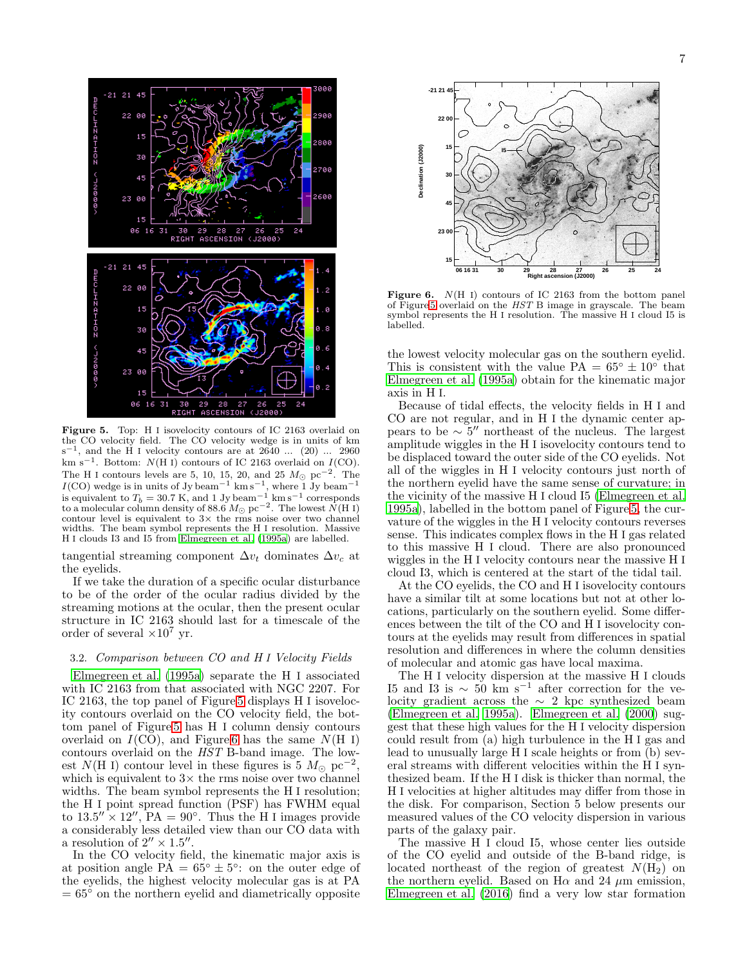

<span id="page-6-0"></span>Figure 5. Top: H I isovelocity contours of IC 2163 overlaid on the CO velocity field. The CO velocity wedge is in units of km  $s^{-1}$ , and the H I velocity contours are at 2640 ... (20) ... 2960 km s<sup>-1</sup>. Bottom:  $N(H I)$  contours of IC 2163 overlaid on  $I(CO)$ . The H I contours levels are 5, 10, 15, 20, and 25  $M_{\odot}$  pc<sup>-2</sup>. The  $I(CO)$  wedge is in units of Jy beam<sup>-1</sup> km s<sup>-1</sup>, where 1 Jy beam<sup>-1</sup> is equivalent to  $T_b = 30.7$  K, and 1 Jy beam<sup>-1</sup> km s<sup>-1</sup> corresponds to a molecular column density of 88.6  $M_{\odot}$  pc<sup>-2</sup>. The lowest  $\dot{N}$ (H I) contour level is equivalent to  $3\times$  the rms noise over two channel widths. The beam symbol represents the H I resolution. Massive H I clouds I3 and I5 from [Elmegreen et al. \(1995a](#page-13-3)) are labelled.

tangential streaming component  $\Delta v_t$  dominates  $\Delta v_c$  at the eyelids.

If we take the duration of a specific ocular disturbance to be of the order of the ocular radius divided by the streaming motions at the ocular, then the present ocular structure in IC 2163 should last for a timescale of the order of several  $\times 10^7$  yr.

### 3.2. Comparison between CO and H I Velocity Fields

[Elmegreen et al. \(1995a\)](#page-13-3) separate the H I associated with IC 2163 from that associated with NGC 2207. For IC 2163, the top panel of Figure [5](#page-6-0) displays H I isovelocity contours overlaid on the CO velocity field, the bottom panel of Figure [5](#page-6-0) has H I column densiy contours overlaid on  $I(CO)$ , and Figure [6](#page-6-1) has the same  $N(H I)$ contours overlaid on the HST B-band image. The lowest  $N(H I)$  contour level in these figures is 5  $M_{\odot}$  pc<sup>-2</sup>, which is equivalent to  $3\times$  the rms noise over two channel widths. The beam symbol represents the H I resolution; the H I point spread function (PSF) has FWHM equal to  $13.5'' \times 12''$ ,  $PA = 90^\circ$ . Thus the H I images provide a considerably less detailed view than our CO data with a resolution of  $2'' \times 1.5''$ .

In the CO velocity field, the kinematic major axis is at position angle  $\overline{PA} = 65^{\circ} \pm 5^{\circ}$ : on the outer edge of the eyelids, the highest velocity molecular gas is at PA  $= 65<sup>°</sup>$  on the northern eyelid and diametrically opposite



<span id="page-6-1"></span>**Figure 6.**  $N(H I)$  contours of IC 2163 from the bottom panel of Figure [5](#page-6-0) overlaid on the HST B image in grayscale. The beam symbol represents the H I resolution. The massive H I cloud I5 is labelled.

the lowest velocity molecular gas on the southern eyelid. This is consistent with the value  $PA = 65^{\circ} \pm 10^{\circ}$  that [Elmegreen et al. \(1995a\)](#page-13-3) obtain for the kinematic major axis in H I.

Because of tidal effects, the velocity fields in H I and CO are not regular, and in H I the dynamic center appears to be  $\sim 5''$  northeast of the nucleus. The largest amplitude wiggles in the H I isovelocity contours tend to be displaced toward the outer side of the CO eyelids. Not all of the wiggles in H I velocity contours just north of the northern eyelid have the same sense of curvature; in the vicinity of the massive H I cloud I5 [\(Elmegreen et al.](#page-13-3) [1995a\)](#page-13-3), labelled in the bottom panel of Figure [5,](#page-6-0) the curvature of the wiggles in the H I velocity contours reverses sense. This indicates complex flows in the H I gas related to this massive H I cloud. There are also pronounced wiggles in the H I velocity contours near the massive H I cloud I3, which is centered at the start of the tidal tail.

At the CO eyelids, the CO and H I isovelocity contours have a similar tilt at some locations but not at other locations, particularly on the southern eyelid. Some differences between the tilt of the CO and H I isovelocity contours at the eyelids may result from differences in spatial resolution and differences in where the column densities of molecular and atomic gas have local maxima.

The H I velocity dispersion at the massive H I clouds I5 and I3 is  $\sim 50 \text{ km s}^{-1}$  after correction for the velocity gradient across the ∼ 2 kpc synthesized beam [\(Elmegreen et al. 1995a\)](#page-13-3). [Elmegreen et al. \(2000\)](#page-13-6) suggest that these high values for the H I velocity dispersion could result from (a) high turbulence in the H I gas and lead to unusually large H I scale heights or from (b) several streams with different velocities within the H I synthesized beam. If the H I disk is thicker than normal, the H I velocities at higher altitudes may differ from those in the disk. For comparison, Section 5 below presents our measured values of the CO velocity dispersion in various parts of the galaxy pair.

The massive H I cloud I5, whose center lies outside of the CO eyelid and outside of the B-band ridge, is located northeast of the region of greatest  $N(\overline{H_2})$  on the northern eyelid. Based on  $H\alpha$  and 24  $\mu$ m emission, [Elmegreen et al. \(2016](#page-13-16)) find a very low star formation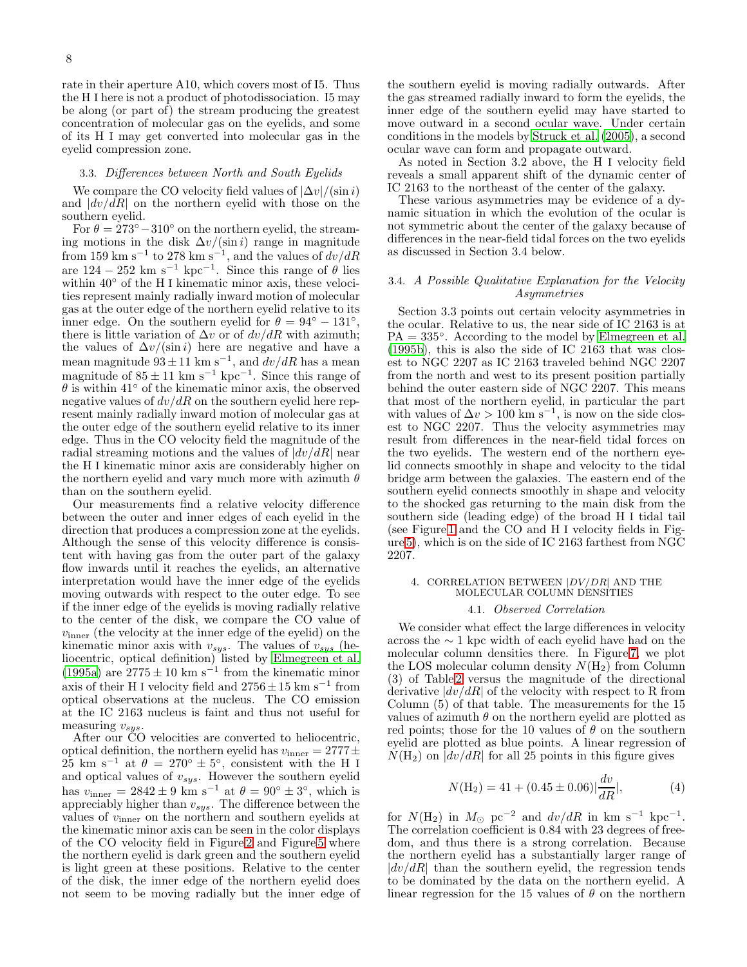rate in their aperture A10, which covers most of I5. Thus the H I here is not a product of photodissociation. I5 may be along (or part of) the stream producing the greatest concentration of molecular gas on the eyelids, and some of its H I may get converted into molecular gas in the eyelid compression zone.

### 3.3. Differences between North and South Eyelids

We compare the CO velocity field values of  $|\Delta v|/(\sin i)$ and  $|dv/dR|$  on the northern eyelid with those on the southern eyelid.

For  $\theta = 273^{\circ} - 310^{\circ}$  on the northern eyelid, the streaming motions in the disk  $\Delta v / (\sin i)$  range in magnitude from 159 km s<sup>-1</sup> to 278 km s<sup>-1</sup>, and the values of  $dv/dR$ are  $124 - 252$  km s<sup>-1</sup> kpc<sup>-1</sup>. Since this range of  $\theta$  lies within 40◦ of the H I kinematic minor axis, these velocities represent mainly radially inward motion of molecular gas at the outer edge of the northern eyelid relative to its inner edge. On the southern eyelid for  $\theta = 94^\circ - 131^\circ$ , there is little variation of  $\Delta v$  or of  $dv/dR$  with azimuth; the values of  $\Delta v/(\sin i)$  here are negative and have a mean magnitude  $93 \pm 11$  km s<sup>-1</sup>, and  $dv/dR$  has a mean magnitude of  $85 \pm 11$  km s<sup>-1</sup> kpc<sup>-1</sup>. Since this range of  $\theta$  is within 41 $\degree$  of the kinematic minor axis, the observed negative values of  $dv/dR$  on the southern eyelid here represent mainly radially inward motion of molecular gas at the outer edge of the southern eyelid relative to its inner edge. Thus in the CO velocity field the magnitude of the radial streaming motions and the values of  $|dv/dR|$  near the H I kinematic minor axis are considerably higher on the northern eyelid and vary much more with azimuth  $\theta$ than on the southern eyelid.

Our measurements find a relative velocity difference between the outer and inner edges of each eyelid in the direction that produces a compression zone at the eyelids. Although the sense of this velocity difference is consistent with having gas from the outer part of the galaxy flow inwards until it reaches the eyelids, an alternative interpretation would have the inner edge of the eyelids moving outwards with respect to the outer edge. To see if the inner edge of the eyelids is moving radially relative to the center of the disk, we compare the CO value of  $v_{\text{inner}}$  (the velocity at the inner edge of the eyelid) on the kinematic minor axis with  $v_{sys}$ . The values of  $v_{sys}$  (heliocentric, optical definition) listed by [Elmegreen et al.](#page-13-3) [\(1995a\)](#page-13-3) are  $2775 \pm 10 \text{ km s}^{-1}$  from the kinematic minor axis of their H I velocity field and  $2756 \pm 15$  km  $\rm s^{-1}$  from optical observations at the nucleus. The CO emission at the IC 2163 nucleus is faint and thus not useful for measuring  $v_{sys}$ .

After our CO velocities are converted to heliocentric, optical definition, the northern eyelid has  $v_{\text{inner}} = 2777 \pm$  $25 \text{ km s}^{-1}$  at  $\theta = 270^{\circ} \pm 5^{\circ}$ , consistent with the H I and optical values of  $v_{sys}$ . However the southern eyelid has  $v_{\text{inner}} = 2842 \pm 9 \text{ km s}^{-1}$  at  $\theta = 90^{\circ} \pm 3^{\circ}$ , which is appreciably higher than  $v_{sys}$ . The difference between the values of vinner on the northern and southern eyelids at the kinematic minor axis can be seen in the color displays of the CO velocity field in Figure [2](#page-4-0) and Figure [5](#page-6-0) where the northern eyelid is dark green and the southern eyelid is light green at these positions. Relative to the center of the disk, the inner edge of the northern eyelid does not seem to be moving radially but the inner edge of the southern eyelid is moving radially outwards. After the gas streamed radially inward to form the eyelids, the inner edge of the southern eyelid may have started to move outward in a second ocular wave. Under certain conditions in the models by [Struck et al. \(2005\)](#page-13-12), a second ocular wave can form and propagate outward.

As noted in Section 3.2 above, the H I velocity field reveals a small apparent shift of the dynamic center of IC 2163 to the northeast of the center of the galaxy.

These various asymmetries may be evidence of a dynamic situation in which the evolution of the ocular is not symmetric about the center of the galaxy because of differences in the near-field tidal forces on the two eyelids as discussed in Section 3.4 below.

## 3.4. A Possible Qualitative Explanation for the Velocity Asymmetries

Section 3.3 points out certain velocity asymmetries in the ocular. Relative to us, the near side of IC 2163 is at PA = 335°. According to the model by [Elmegreen et al.](#page-13-11) [\(1995b\)](#page-13-11), this is also the side of IC 2163 that was closest to NGC 2207 as IC 2163 traveled behind NGC 2207 from the north and west to its present position partially behind the outer eastern side of NGC 2207. This means that most of the northern eyelid, in particular the part with values of  $\Delta v > 100 \text{ km s}^{-1}$ , is now on the side closest to NGC 2207. Thus the velocity asymmetries may result from differences in the near-field tidal forces on the two eyelids. The western end of the northern eyelid connects smoothly in shape and velocity to the tidal bridge arm between the galaxies. The eastern end of the southern eyelid connects smoothly in shape and velocity to the shocked gas returning to the main disk from the southern side (leading edge) of the broad H I tidal tail (see Figure [1](#page-2-0) and the CO and H I velocity fields in Figure [5\)](#page-6-0), which is on the side of IC 2163 farthest from NGC 2207.

#### 4. CORRELATION BETWEEN  $|DV/DR|$  AND THE MOLECULAR COLUMN DENSITIES

### 4.1. Observed Correlation

We consider what effect the large differences in velocity across the ∼ 1 kpc width of each eyelid have had on the molecular column densities there. In Figure [7,](#page-8-0) we plot the LOS molecular column density  $N(H_2)$  from Column (3) of Table [2](#page-5-1) versus the magnitude of the directional derivative  $|dv/dR|$  of the velocity with respect to R from Column (5) of that table. The measurements for the 15 values of azimuth  $\theta$  on the northern eyelid are plotted as red points; those for the 10 values of  $\theta$  on the southern eyelid are plotted as blue points. A linear regression of  $N(H_2)$  on  $|dv/dR|$  for all 25 points in this figure gives

$$
N(\text{H}_2) = 41 + (0.45 \pm 0.06) \left| \frac{dv}{dR} \right|,\tag{4}
$$

for  $N(\text{H}_2)$  in  $M_{\odot}$  pc<sup>-2</sup> and  $dv/dR$  in km s<sup>-1</sup> kpc<sup>-1</sup>. The correlation coefficient is 0.84 with 23 degrees of freedom, and thus there is a strong correlation. Because the northern eyelid has a substantially larger range of  $|dv/dR|$  than the southern eyelid, the regression tends to be dominated by the data on the northern eyelid. A linear regression for the 15 values of  $\theta$  on the northern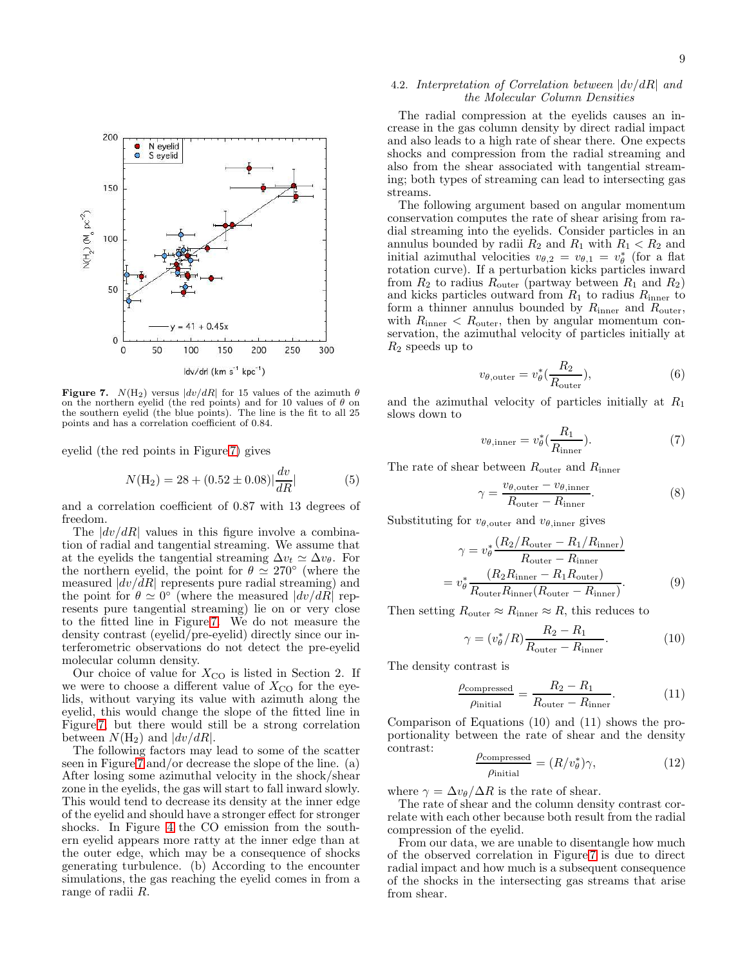

<span id="page-8-0"></span>Figure 7.  $N(H_2)$  versus  $|dv/dR|$  for 15 values of the azimuth  $\theta$ on the northern eyelid (the red points) and for 10 values of  $\theta$  on the southern eyelid (the blue points). The line is the fit to all 25 points and has a correlation coefficient of 0.84.

eyelid (the red points in Figure [7\)](#page-8-0) gives

$$
N(\text{H}_2) = 28 + (0.52 \pm 0.08) \left| \frac{dv}{dR} \right| \tag{5}
$$

and a correlation coefficient of 0.87 with 13 degrees of freedom.

The  $|dv/dR|$  values in this figure involve a combination of radial and tangential streaming. We assume that at the eyelids the tangential streaming  $\Delta v_t \simeq \Delta v_{\theta}$ . For the northern eyelid, the point for  $\theta \simeq 270^{\circ}$  (where the measured  $|dv/dR|$  represents pure radial streaming) and the point for  $\theta \simeq 0^{\circ}$  (where the measured  $|dv/dR|$  represents pure tangential streaming) lie on or very close to the fitted line in Figure [7.](#page-8-0) We do not measure the density contrast (eyelid/pre-eyelid) directly since our interferometric observations do not detect the pre-eyelid molecular column density.

Our choice of value for  $X_{\rm CO}$  is listed in Section 2. If we were to choose a different value of  $X_{\text{CO}}$  for the eyelids, without varying its value with azimuth along the eyelid, this would change the slope of the fitted line in Figure [7,](#page-8-0) but there would still be a strong correlation between  $N(H_2)$  and  $|dv/dR|$ .

The following factors may lead to some of the scatter seen in Figure [7](#page-8-0) and/or decrease the slope of the line. (a) After losing some azimuthal velocity in the shock/shear zone in the eyelids, the gas will start to fall inward slowly. This would tend to decrease its density at the inner edge of the eyelid and should have a stronger effect for stronger shocks. In Figure [4](#page-5-0) the CO emission from the southern eyelid appears more ratty at the inner edge than at the outer edge, which may be a consequence of shocks generating turbulence. (b) According to the encounter simulations, the gas reaching the eyelid comes in from a range of radii R.

### 4.2. Interpretation of Correlation between  $|dv/dR|$  and the Molecular Column Densities

The radial compression at the eyelids causes an increase in the gas column density by direct radial impact and also leads to a high rate of shear there. One expects shocks and compression from the radial streaming and also from the shear associated with tangential streaming; both types of streaming can lead to intersecting gas streams.

The following argument based on angular momentum conservation computes the rate of shear arising from radial streaming into the eyelids. Consider particles in an annulus bounded by radii  $R_2$  and  $R_1$  with  $R_1 < R_2$  and initial azimuthal velocities  $v_{\theta,2} = v_{\theta,1} = v_{\theta}^*$  (for a flat rotation curve). If a perturbation kicks particles inward from  $R_2$  to radius  $R_{\text{outer}}$  (partway between  $R_1$  and  $R_2$ ) and kicks particles outward from  $R_1$  to radius  $R_{\text{inner}}$  to form a thinner annulus bounded by  $R_{\rm inner}$  and  $R_{\rm outer},$ with  $R_{\text{inner}} < R_{\text{outer}}$ , then by angular momentum conservation, the azimuthal velocity of particles initially at  $R_2$  speeds up to

$$
v_{\theta, \text{outer}} = v_{\theta}^* \left( \frac{R_2}{R_{\text{outer}}} \right), \tag{6}
$$

and the azimuthal velocity of particles initially at  $R_1$ slows down to

$$
v_{\theta,\text{inner}} = v_{\theta}^* \left( \frac{R_1}{R_{\text{inner}}} \right). \tag{7}
$$

The rate of shear between  $R_{\text{outer}}$  and  $R_{\text{inner}}$ 

$$
\gamma = \frac{v_{\theta, \text{outer}} - v_{\theta, \text{inner}}}{R_{\text{outer}} - R_{\text{inner}}}.
$$
\n(8)

Substituting for  $v_{\theta, \text{outer}}$  and  $v_{\theta, \text{inner}}$  gives

$$
\gamma = v_{\theta}^* \frac{(R_2/R_{\text{outer}} - R_1/R_{\text{inner}})}{R_{\text{outer}} - R_{\text{inner}}}
$$

$$
= v_{\theta}^* \frac{(R_2R_{\text{inner}} - R_1R_{\text{outer}})}{R_{\text{outer}}R_{\text{inner}}(R_{\text{outer}} - R_{\text{inner}})}.
$$
(9)

Then setting  $R_{\text{outer}} \approx R_{\text{inner}} \approx R$ , this reduces to

$$
\gamma = (v_{\theta}^*/R)\frac{R_2 - R_1}{R_{\text{outer}} - R_{\text{inner}}}.\tag{10}
$$

The density contrast is

$$
\frac{\rho_{\text{compressed}}}{\rho_{\text{initial}}} = \frac{R_2 - R_1}{R_{\text{outer}} - R_{\text{inner}}}.\tag{11}
$$

Comparison of Equations (10) and (11) shows the proportionality between the rate of shear and the density contrast:

$$
\frac{\rho_{\text{compressed}}}{\rho_{\text{initial}}} = (R/v_{\theta}^*)\gamma,\tag{12}
$$

where  $\gamma = \Delta v_{\theta} / \Delta R$  is the rate of shear.

The rate of shear and the column density contrast correlate with each other because both result from the radial compression of the eyelid.

From our data, we are unable to disentangle how much of the observed correlation in Figure [7](#page-8-0) is due to direct radial impact and how much is a subsequent consequence of the shocks in the intersecting gas streams that arise from shear.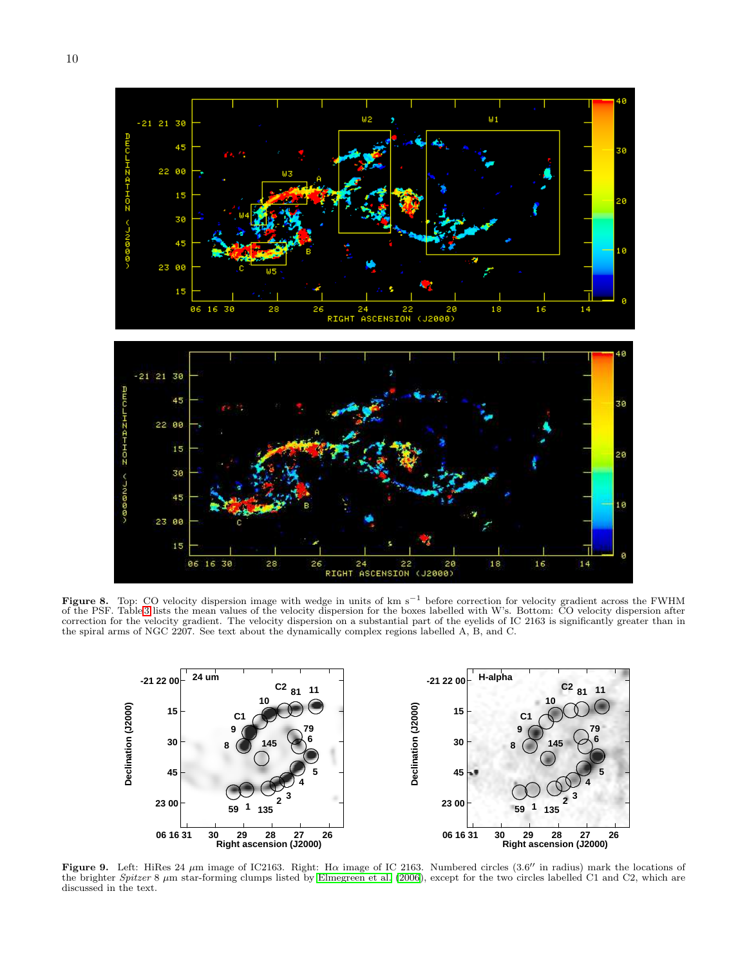



Figure 8. Top: CO velocity dispersion image with wedge in units of km s<sup>−1</sup> before correction for velocity gradient across the FWHM of the PSF. Table [3](#page-10-0) lists the mean values of the velocity dispersion for the boxes labelled with W's. Bottom: CO velocity dispersion after correction for the velocity gradient. The velocity dispersion on a substantial part of the eyelids of IC 2163 is significantly greater than in the spiral arms of NGC 2207. See text about the dynamically complex regions labelled A, B, and C.

<span id="page-9-0"></span>

<span id="page-9-1"></span>Figure 9. Left: HiRes 24  $\mu$ m image of IC2163. Right: H $\alpha$  image of IC 2163. Numbered circles (3.6" in radius) mark the locations of the brighter Spitzer 8  $\mu$ m star-forming clumps listed by [Elmegreen et al. \(2006](#page-13-8)), except for the two circles labelled C1 and C2, which are discussed in the text.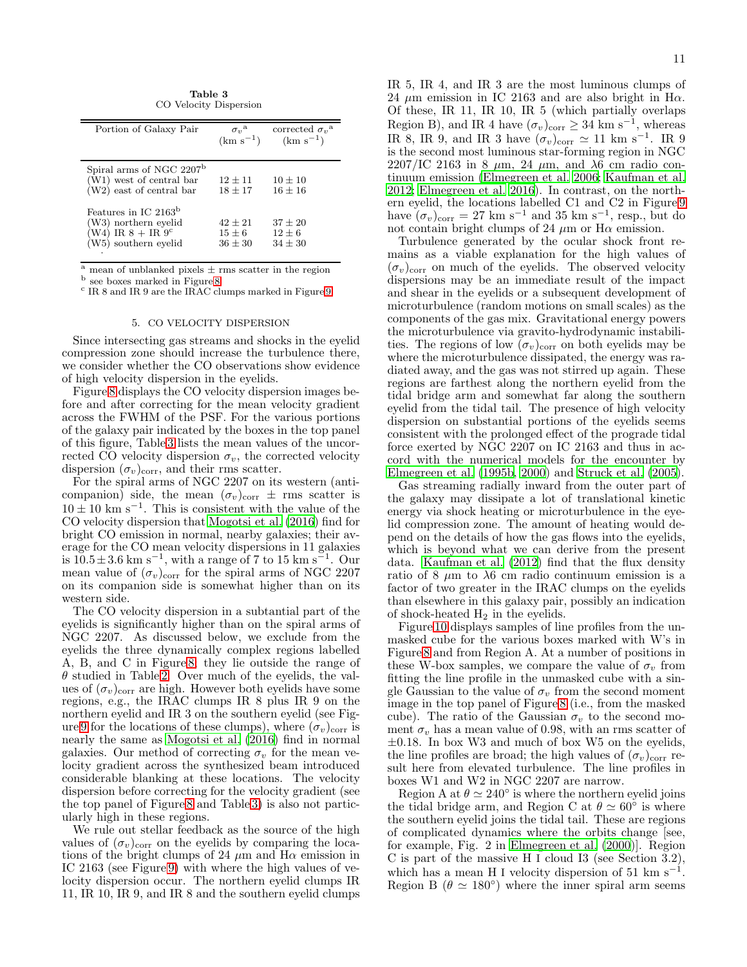Table 3 CO Velocity Dispersion

<span id="page-10-0"></span>

| Portion of Galaxy Pair                                                                                                | $\sigma_{v}^{\mathrm{a}}$<br>$(km s^{-1})$ | corrected $\sigma_v$ <sup>a</sup><br>$(km s^{-1})$ |
|-----------------------------------------------------------------------------------------------------------------------|--------------------------------------------|----------------------------------------------------|
| Spiral arms of NGC 2207 <sup>b</sup><br>(W1) west of central bar<br>$(W2)$ east of central bar                        | $12 \pm 11$<br>$18 \pm 17$                 | $10 + 10$<br>$16 + 16$                             |
| Features in IC 2163 <sup>b</sup><br>(W3) northern eyelid<br>$(W4)$ IR $8 + IR$ 9 <sup>c</sup><br>(W5) southern eyelid | $42 + 21$<br>$15 \pm 6$<br>$36 + 30$       | $37 + 20$<br>$12 \pm 6$<br>$34 \pm 30$             |

 $\frac{a}{a}$  mean of unblanked pixels  $\pm$  rms scatter in the region

<sup>b</sup> see boxes marked in Figure [8](#page-9-0)

c IR 8 and IR 9 are the IRAC clumps marked in Figure [9.](#page-9-1)

#### 5. CO VELOCITY DISPERSION

Since intersecting gas streams and shocks in the eyelid compression zone should increase the turbulence there, we consider whether the CO observations show evidence of high velocity dispersion in the eyelids.

Figure [8](#page-9-0) displays the CO velocity dispersion images before and after correcting for the mean velocity gradient across the FWHM of the PSF. For the various portions of the galaxy pair indicated by the boxes in the top panel of this figure, Table [3](#page-10-0) lists the mean values of the uncorrected CO velocity dispersion  $\sigma_v$ , the corrected velocity dispersion  $(\sigma_v)_{\text{corr}}$ , and their rms scatter.

For the spiral arms of NGC 2207 on its western (anticompanion) side, the mean  $(\sigma_v)_{\text{corr}} \pm \text{rms}$  scatter is  $10 \pm 10$  km s<sup>-1</sup>. This is consistent with the value of the CO velocity dispersion that [Mogotsi et al. \(2016\)](#page-13-17) find for bright CO emission in normal, nearby galaxies; their average for the CO mean velocity dispersions in 11 galaxies is  $10.5 \pm 3.6$  km s<sup>-1</sup>, with a range of 7 to 15 km s<sup>-1</sup>. Our mean value of  $(\sigma_v)_{\text{corr}}$  for the spiral arms of NGC 2207 on its companion side is somewhat higher than on its western side.

The CO velocity dispersion in a subtantial part of the eyelids is significantly higher than on the spiral arms of NGC 2207. As discussed below, we exclude from the eyelids the three dynamically complex regions labelled A, B, and C in Figure [8;](#page-9-0) they lie outside the range of  $\theta$  studied in Table [2.](#page-5-1) Over much of the eyelids, the values of  $(\sigma_v)_{\text{corr}}$  are high. However both eyelids have some regions, e.g., the IRAC clumps IR 8 plus IR 9 on the northern eyelid and IR 3 on the southern eyelid (see Fig-ure [9](#page-9-1) for the locations of these clumps), where  $(\sigma_v)_{\text{corr}}$  is nearly the same as [Mogotsi et al. \(2016\)](#page-13-17) find in normal galaxies. Our method of correcting  $\sigma_v$  for the mean velocity gradient across the synthesized beam introduced considerable blanking at these locations. The velocity dispersion before correcting for the velocity gradient (see the top panel of Figure [8](#page-9-0) and Table [3\)](#page-10-0) is also not particularly high in these regions.

We rule out stellar feedback as the source of the high values of  $(\sigma_v)_{\text{corr}}$  on the eyelids by comparing the locations of the bright clumps of 24  $\mu$ m and H $\alpha$  emission in IC 2163 (see Figure [9\)](#page-9-1) with where the high values of velocity dispersion occur. The northern eyelid clumps IR 11, IR 10, IR 9, and IR 8 and the southern eyelid clumps IR 5, IR 4, and IR 3 are the most luminous clumps of 24  $\mu$ m emission in IC 2163 and are also bright in H $\alpha$ . Of these, IR 11, IR 10, IR 5 (which partially overlaps Region B), and IR 4 have  $(\sigma_v)_{\text{corr}} \geq 34 \text{ km s}^{-1}$ , whereas IR 8, IR 9, and IR 3 have  $(\sigma_v)_{\text{corr}} \simeq 11 \text{ km s}^{-1}$ . IR 9 is the second most luminous star-forming region in NGC 2207/IC 2163 in 8  $\mu$ m, 24  $\mu$ m, and  $\lambda$ 6 cm radio continuum emission [\(Elmegreen et al. 2006;](#page-13-8) [Kaufman et al.](#page-13-9) [2012;](#page-13-9) [Elmegreen et al. 2016](#page-13-16)). In contrast, on the northern eyelid, the locations labelled C1 and C2 in Figure [9](#page-9-1) have  $(\sigma_v)_{\text{corr}} = 27 \text{ km s}^{-1}$  and 35 km s<sup>-1</sup>, resp., but do not contain bright clumps of 24  $\mu$ m or H $\alpha$  emission.

Turbulence generated by the ocular shock front remains as a viable explanation for the high values of  $(\sigma_v)_{\text{corr}}$  on much of the eyelids. The observed velocity dispersions may be an immediate result of the impact and shear in the eyelids or a subsequent development of microturbulence (random motions on small scales) as the components of the gas mix. Gravitational energy powers the microturbulence via gravito-hydrodynamic instabilities. The regions of low  $(\sigma_v)_{\text{corr}}$  on both eyelids may be where the microturbulence dissipated, the energy was radiated away, and the gas was not stirred up again. These regions are farthest along the northern eyelid from the tidal bridge arm and somewhat far along the southern eyelid from the tidal tail. The presence of high velocity dispersion on substantial portions of the eyelids seems consistent with the prolonged effect of the prograde tidal force exerted by NGC 2207 on IC 2163 and thus in accord with the numerical models for the encounter by [Elmegreen et al. \(1995b](#page-13-11), [2000](#page-13-6)) and [Struck et al. \(2005\)](#page-13-12).

Gas streaming radially inward from the outer part of the galaxy may dissipate a lot of translational kinetic energy via shock heating or microturbulence in the eyelid compression zone. The amount of heating would depend on the details of how the gas flows into the eyelids, which is beyond what we can derive from the present data. [Kaufman et al. \(2012\)](#page-13-9) find that the flux density ratio of 8  $\mu$ m to  $\lambda$ 6 cm radio continuum emission is a factor of two greater in the IRAC clumps on the eyelids than elsewhere in this galaxy pair, possibly an indication of shock-heated  $H_2$  in the eyelids.

Figure [10](#page-12-0) displays samples of line profiles from the unmasked cube for the various boxes marked with W's in Figure [8](#page-9-0) and from Region A. At a number of positions in these W-box samples, we compare the value of  $\sigma_v$  from fitting the line profile in the unmasked cube with a single Gaussian to the value of  $\sigma_v$  from the second moment image in the top panel of Figure [8](#page-9-0) (i.e., from the masked cube). The ratio of the Gaussian  $\sigma_v$  to the second moment  $\sigma_v$  has a mean value of 0.98, with an rms scatter of  $\pm 0.18$ . In box W3 and much of box W5 on the eyelids, the line profiles are broad; the high values of  $(\sigma_v)_{\text{corr}}$  result here from elevated turbulence. The line profiles in boxes W1 and W2 in NGC 2207 are narrow.

Region A at  $\theta \simeq 240^{\circ}$  is where the northern eyelid joins the tidal bridge arm, and Region C at  $\theta \simeq 60^{\circ}$  is where the southern eyelid joins the tidal tail. These are regions of complicated dynamics where the orbits change [see, for example, Fig. 2 in [Elmegreen et al. \(2000](#page-13-6))]. Region C is part of the massive H I cloud I3 (see Section  $3.2$ ), which has a mean H I velocity dispersion of 51 km  $s^{-1}$ . Region B ( $\theta \simeq 180^{\circ}$ ) where the inner spiral arm seems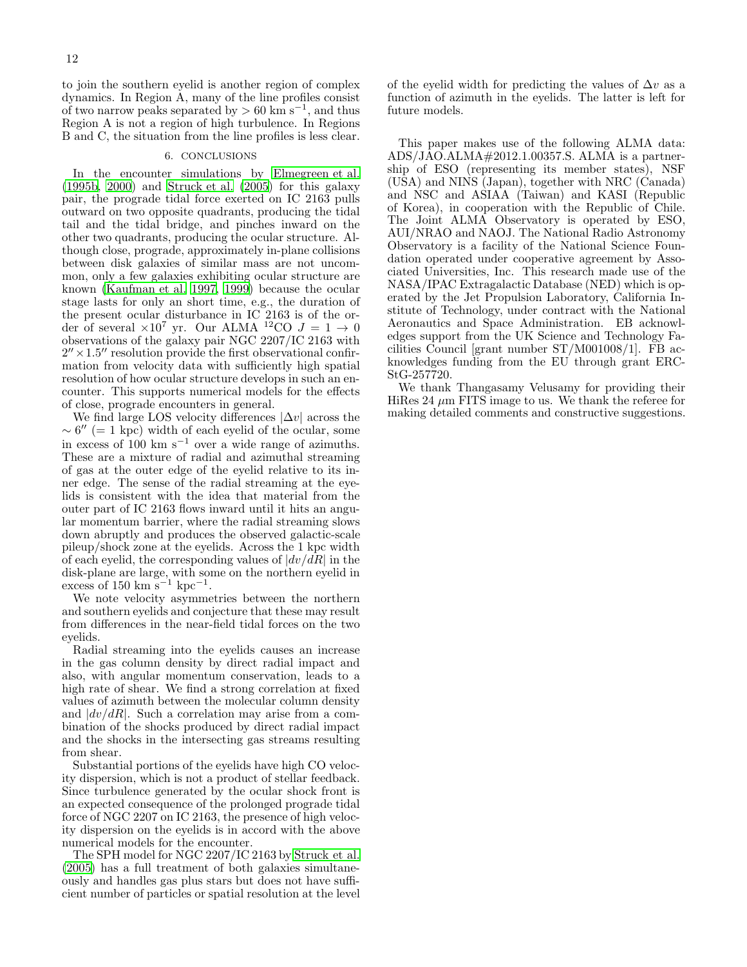to join the southern eyelid is another region of complex dynamics. In Region A, many of the line profiles consist of two narrow peaks separated by  $> 60 \text{ km s}^{-1}$ , and thus Region A is not a region of high turbulence. In Regions B and C, the situation from the line profiles is less clear.

# 6. CONCLUSIONS

In the encounter simulations by [Elmegreen et al.](#page-13-11) [\(1995b](#page-13-11), [2000\)](#page-13-6) and [Struck et al. \(2005](#page-13-12)) for this galaxy pair, the prograde tidal force exerted on IC 2163 pulls outward on two opposite quadrants, producing the tidal tail and the tidal bridge, and pinches inward on the other two quadrants, producing the ocular structure. Although close, prograde, approximately in-plane collisions between disk galaxies of similar mass are not uncommon, only a few galaxies exhibiting ocular structure are known [\(Kaufman et al. 1997,](#page-13-4) [1999\)](#page-13-5) because the ocular stage lasts for only an short time, e.g., the duration of the present ocular disturbance in IC 2163 is of the order of several  $\times 10^7$  yr. Our ALMA <sup>12</sup>CO  $J = 1 \rightarrow 0$ observations of the galaxy pair NGC 2207/IC 2163 with  $2'' \times 1.5''$  resolution provide the first observational confirmation from velocity data with sufficiently high spatial resolution of how ocular structure develops in such an encounter. This supports numerical models for the effects of close, prograde encounters in general.

We find large LOS velocity differences  $|\Delta v|$  across the  $\sim 6''$  (= 1 kpc) width of each eyelid of the ocular, some in excess of 100 km s<sup>−</sup><sup>1</sup> over a wide range of azimuths. These are a mixture of radial and azimuthal streaming of gas at the outer edge of the eyelid relative to its inner edge. The sense of the radial streaming at the eyelids is consistent with the idea that material from the outer part of IC 2163 flows inward until it hits an angular momentum barrier, where the radial streaming slows down abruptly and produces the observed galactic-scale pileup/shock zone at the eyelids. Across the 1 kpc width of each eyelid, the corresponding values of  $|dv/dR|$  in the disk-plane are large, with some on the northern eyelid in excess of 150 km  $s^{-1}$  kpc<sup>-1</sup>.

We note velocity asymmetries between the northern and southern eyelids and conjecture that these may result from differences in the near-field tidal forces on the two eyelids.

Radial streaming into the eyelids causes an increase in the gas column density by direct radial impact and also, with angular momentum conservation, leads to a high rate of shear. We find a strong correlation at fixed values of azimuth between the molecular column density and  $|dv/dR|$ . Such a correlation may arise from a combination of the shocks produced by direct radial impact and the shocks in the intersecting gas streams resulting from shear.

Substantial portions of the eyelids have high CO velocity dispersion, which is not a product of stellar feedback. Since turbulence generated by the ocular shock front is an expected consequence of the prolonged prograde tidal force of NGC 2207 on IC 2163, the presence of high velocity dispersion on the eyelids is in accord with the above numerical models for the encounter.

The SPH model for NGC 2207/IC 2163 by [Struck et al.](#page-13-12) [\(2005\)](#page-13-12) has a full treatment of both galaxies simultaneously and handles gas plus stars but does not have sufficient number of particles or spatial resolution at the level of the eyelid width for predicting the values of  $\Delta v$  as a function of azimuth in the eyelids. The latter is left for future models.

This paper makes use of the following ALMA data:  $ADS/JAO.ALMA \# 2012.1.00357.S. ALMA is a partner$ ship of ESO (representing its member states), NSF (USA) and NINS (Japan), together with NRC (Canada) and NSC and ASIAA (Taiwan) and KASI (Republic of Korea), in cooperation with the Republic of Chile. The Joint ALMA Observatory is operated by ESO, AUI/NRAO and NAOJ. The National Radio Astronomy Observatory is a facility of the National Science Foundation operated under cooperative agreement by Associated Universities, Inc. This research made use of the NASA/IPAC Extragalactic Database (NED) which is operated by the Jet Propulsion Laboratory, California Institute of Technology, under contract with the National Aeronautics and Space Administration. EB acknowledges support from the UK Science and Technology Facilities Council [grant number ST/M001008/1]. FB acknowledges funding from the EU through grant ERC-StG-257720.

We thank Thangasamy Velusamy for providing their HiRes 24  $\mu$ m FITS image to us. We thank the referee for making detailed comments and constructive suggestions.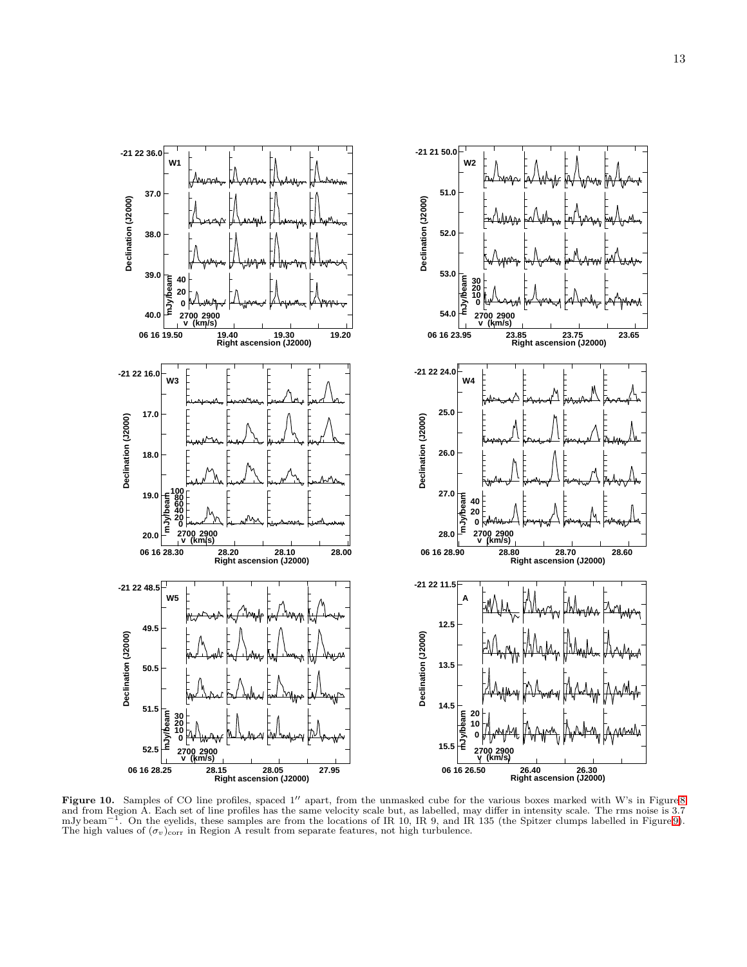

<span id="page-12-0"></span>Figure 10. Samples of CO line profiles, spaced 1" apart, from the unmasked cube for the various boxes marked with W's in Figure [8](#page-9-0) and from Region A. Each set of line profiles has the same velocity scale but, as labelled, may differ in intensity scale. The rms noise is 3.7 mJy beam<sup>-1</sup>. On the eyelids, these samples are from the locations of IR 10, I The high values of  $(\sigma_v)_{\text{corr}}$  in Region A result from separate features, not high turbulence.